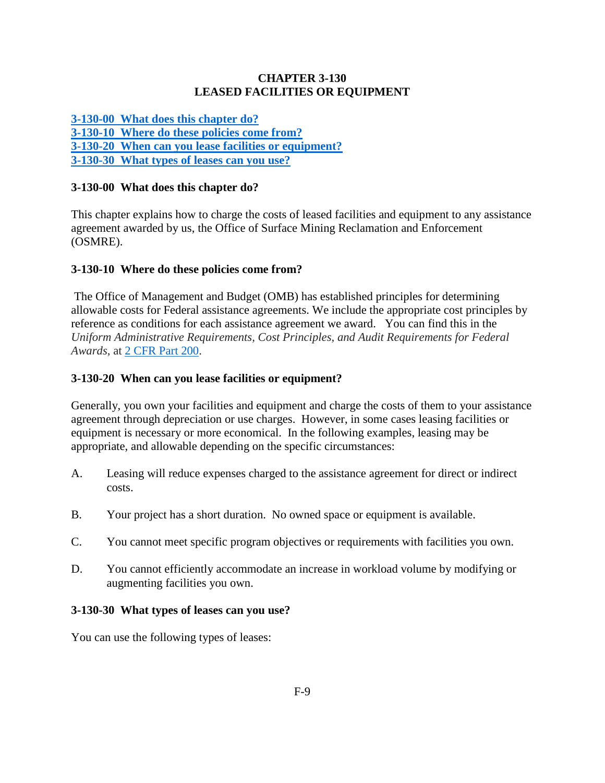# **CHAPTER 3-130 LEASED FACILITIES OR EQUIPMENT**

**[3-130-00 What does this chapter do?](#page-0-0) [3-130-10 Where do these policies come from?](#page-0-1) [3-130-20 When can you lease facilities or equipment?](#page-0-2) [3-130-30 What types of leases can you use?](#page-0-3)** 

# <span id="page-0-0"></span>**3-130-00 What does this chapter do?**

This chapter explains how to charge the costs of leased facilities and equipment to any assistance agreement awarded by us, the Office of Surface Mining Reclamation and Enforcement (OSMRE).

### <span id="page-0-1"></span>**3-130-10 Where do these policies come from?**

The Office of Management and Budget (OMB) has established principles for determining allowable costs for Federal assistance agreements. We include the appropriate cost principles by reference as conditions for each assistance agreement we award. You can find this in the *Uniform Administrative Requirements, Cost Principles, and Audit Requirements for Federal Awards*, at [2 CFR Part 200.](http://www.ecfr.gov/cgi-bin/text-idx?SID=f6ddafc06dfa494200fbc08fe01681ec&node=pt2.1.200&rgn=div5)

### <span id="page-0-2"></span>**3-130-20 When can you lease facilities or equipment?**

Generally, you own your facilities and equipment and charge the costs of them to your assistance agreement through depreciation or use charges. However, in some cases leasing facilities or equipment is necessary or more economical. In the following examples, leasing may be appropriate, and allowable depending on the specific circumstances:

- A. Leasing will reduce expenses charged to the assistance agreement for direct or indirect costs.
- B. Your project has a short duration. No owned space or equipment is available.
- C. You cannot meet specific program objectives or requirements with facilities you own.
- D. You cannot efficiently accommodate an increase in workload volume by modifying or augmenting facilities you own.

#### <span id="page-0-3"></span>**3-130-30 What types of leases can you use?**

You can use the following types of leases: